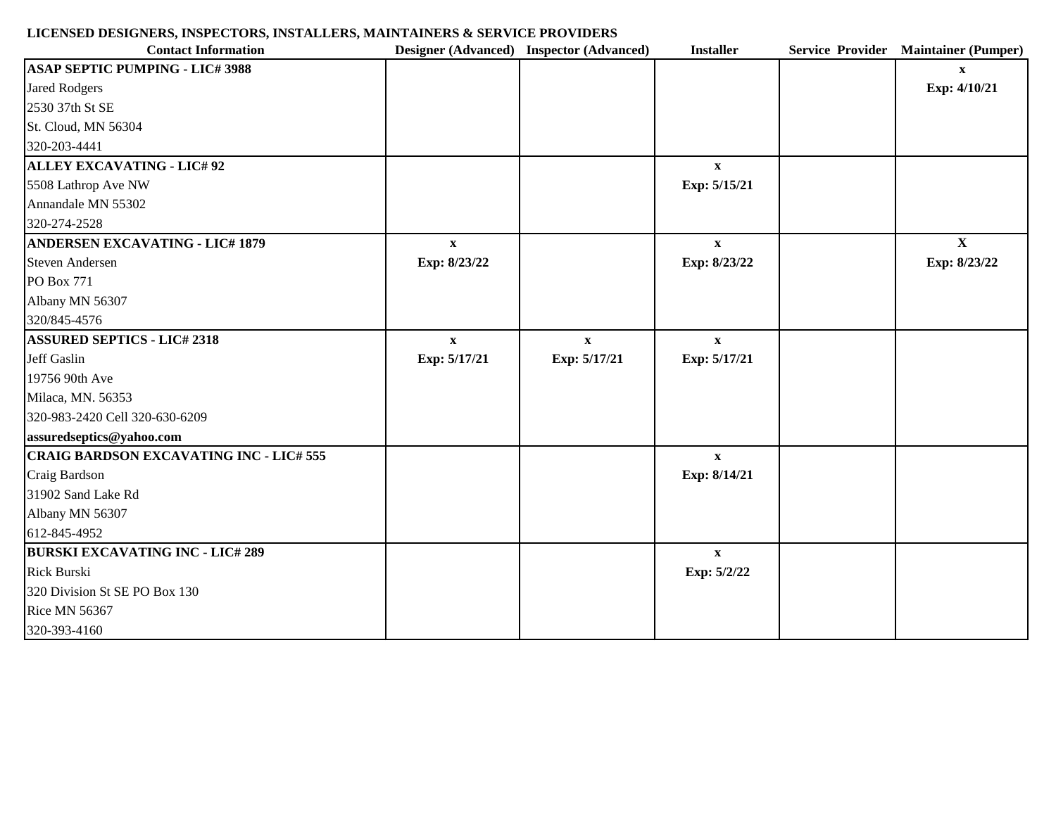## **LICENSED DESIGNERS, INSPECTORS, INSTALLERS, MAINTAINERS & SERVICE PROVIDERS**

| <b>Contact Information</b>                     |                           | Designer (Advanced) Inspector (Advanced) | <b>Installer</b> | Service Provider Maintainer (Pumper) |
|------------------------------------------------|---------------------------|------------------------------------------|------------------|--------------------------------------|
| <b>ASAP SEPTIC PUMPING - LIC# 3988</b>         |                           |                                          |                  | $\mathbf{X}$                         |
| <b>Jared Rodgers</b>                           |                           |                                          |                  | Exp: 4/10/21                         |
| 2530 37th St SE                                |                           |                                          |                  |                                      |
| St. Cloud, MN 56304                            |                           |                                          |                  |                                      |
| 320-203-4441                                   |                           |                                          |                  |                                      |
| <b>ALLEY EXCAVATING - LIC# 92</b>              |                           |                                          | $\mathbf{X}$     |                                      |
| 5508 Lathrop Ave NW                            |                           |                                          | Exp: 5/15/21     |                                      |
| Annandale MN 55302                             |                           |                                          |                  |                                      |
| 320-274-2528                                   |                           |                                          |                  |                                      |
| <b>ANDERSEN EXCAVATING - LIC# 1879</b>         | $\boldsymbol{\mathrm{X}}$ |                                          | $\mathbf X$      | $\mathbf{X}$                         |
| <b>Steven Andersen</b>                         | Exp: 8/23/22              |                                          | Exp: 8/23/22     | Exp: 8/23/22                         |
| PO Box 771                                     |                           |                                          |                  |                                      |
| Albany MN 56307                                |                           |                                          |                  |                                      |
| 320/845-4576                                   |                           |                                          |                  |                                      |
| <b>ASSURED SEPTICS - LIC# 2318</b>             | $\mathbf{X}$              | $\mathbf{X}$                             | $\mathbf{X}$     |                                      |
| Jeff Gaslin                                    | Exp: 5/17/21              | Exp: 5/17/21                             | Exp: 5/17/21     |                                      |
| 19756 90th Ave                                 |                           |                                          |                  |                                      |
| Milaca, MN. 56353                              |                           |                                          |                  |                                      |
| 320-983-2420 Cell 320-630-6209                 |                           |                                          |                  |                                      |
| assuredseptics@yahoo.com                       |                           |                                          |                  |                                      |
| <b>CRAIG BARDSON EXCAVATING INC - LIC# 555</b> |                           |                                          | $\mathbf{X}$     |                                      |
| Craig Bardson                                  |                           |                                          | Exp: 8/14/21     |                                      |
| 31902 Sand Lake Rd                             |                           |                                          |                  |                                      |
| Albany MN 56307                                |                           |                                          |                  |                                      |
| 612-845-4952                                   |                           |                                          |                  |                                      |
| <b>BURSKI EXCAVATING INC - LIC# 289</b>        |                           |                                          | $\mathbf{X}$     |                                      |
| Rick Burski                                    |                           |                                          | Exp: 5/2/22      |                                      |
| 320 Division St SE PO Box 130                  |                           |                                          |                  |                                      |
| <b>Rice MN 56367</b>                           |                           |                                          |                  |                                      |
| 320-393-4160                                   |                           |                                          |                  |                                      |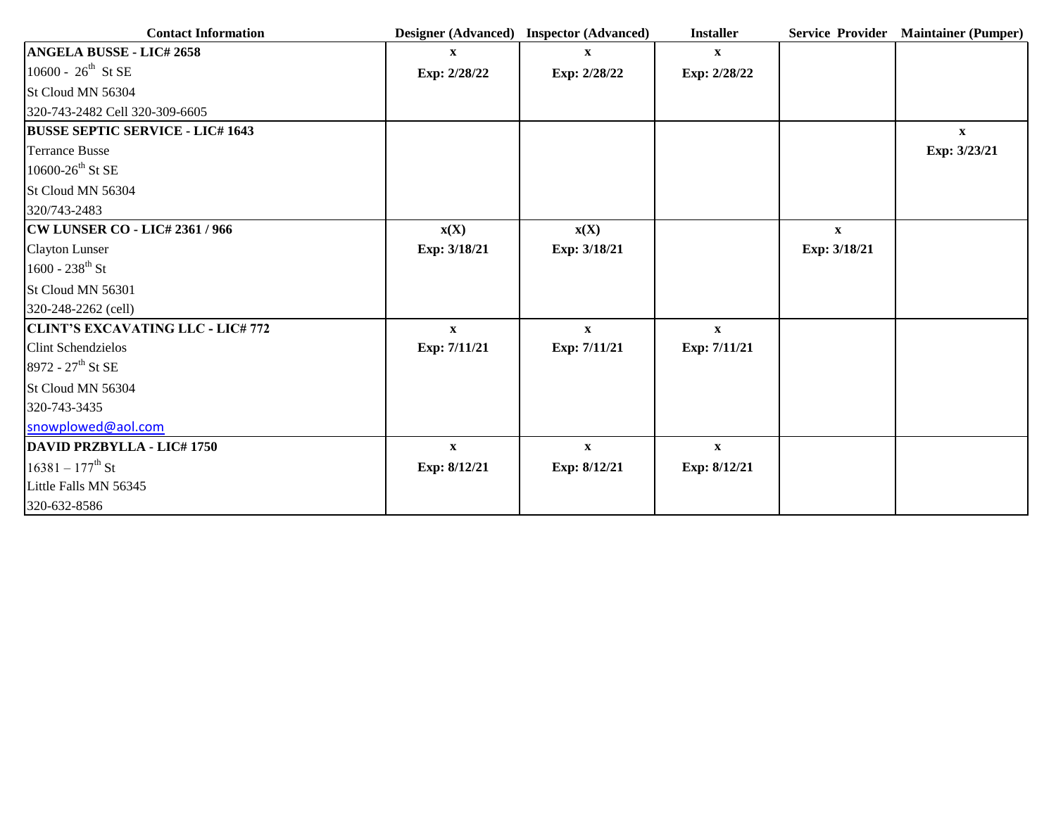| <b>Contact Information</b>               |                          | Designer (Advanced) Inspector (Advanced) | <b>Installer</b> |              | Service Provider Maintainer (Pumper) |
|------------------------------------------|--------------------------|------------------------------------------|------------------|--------------|--------------------------------------|
| <b>ANGELA BUSSE - LIC# 2658</b>          | $\mathbf{X}$             | $\mathbf{X}$                             | $\mathbf{X}$     |              |                                      |
| 10600 - $26^{th}$ St SE                  | Exp: 2/28/22             | Exp: 2/28/22                             | Exp: 2/28/22     |              |                                      |
| St Cloud MN 56304                        |                          |                                          |                  |              |                                      |
| 320-743-2482 Cell 320-309-6605           |                          |                                          |                  |              |                                      |
| <b>BUSSE SEPTIC SERVICE - LIC# 1643</b>  |                          |                                          |                  |              | $\mathbf{X}$                         |
| <b>Terrance Busse</b>                    |                          |                                          |                  |              | Exp: 3/23/21                         |
| 10600-26 <sup>th</sup> St SE             |                          |                                          |                  |              |                                      |
| St Cloud MN 56304                        |                          |                                          |                  |              |                                      |
| 320/743-2483                             |                          |                                          |                  |              |                                      |
| <b>CW LUNSER CO - LIC# 2361 / 966</b>    | $\mathbf{x}(\mathbf{X})$ | $\mathbf{x}(\mathbf{X})$                 |                  | $\mathbf{X}$ |                                      |
| <b>Clayton Lunser</b>                    | Exp: 3/18/21             | Exp: 3/18/21                             |                  | Exp: 3/18/21 |                                      |
| $1600 - 238^{\text{th}}$ St              |                          |                                          |                  |              |                                      |
| St Cloud MN 56301                        |                          |                                          |                  |              |                                      |
| 320-248-2262 (cell)                      |                          |                                          |                  |              |                                      |
| <b>CLINT'S EXCAVATING LLC - LIC# 772</b> | $\mathbf X$              | $\mathbf X$                              | $\mathbf X$      |              |                                      |
| <b>Clint Schendzielos</b>                | Exp: 7/11/21             | Exp: 7/11/21                             | Exp: 7/11/21     |              |                                      |
| 8972 - 27 <sup>th</sup> St SE            |                          |                                          |                  |              |                                      |
| St Cloud MN 56304                        |                          |                                          |                  |              |                                      |
| 320-743-3435                             |                          |                                          |                  |              |                                      |
| snowplowed@aol.com                       |                          |                                          |                  |              |                                      |
| DAVID PRZBYLLA - LIC# 1750               | $\mathbf X$              | $\mathbf{X}$                             | $\mathbf X$      |              |                                      |
| $16381 - 177$ <sup>th</sup> St           | Exp: 8/12/21             | Exp: 8/12/21                             | Exp: 8/12/21     |              |                                      |
| Little Falls MN 56345                    |                          |                                          |                  |              |                                      |
| 320-632-8586                             |                          |                                          |                  |              |                                      |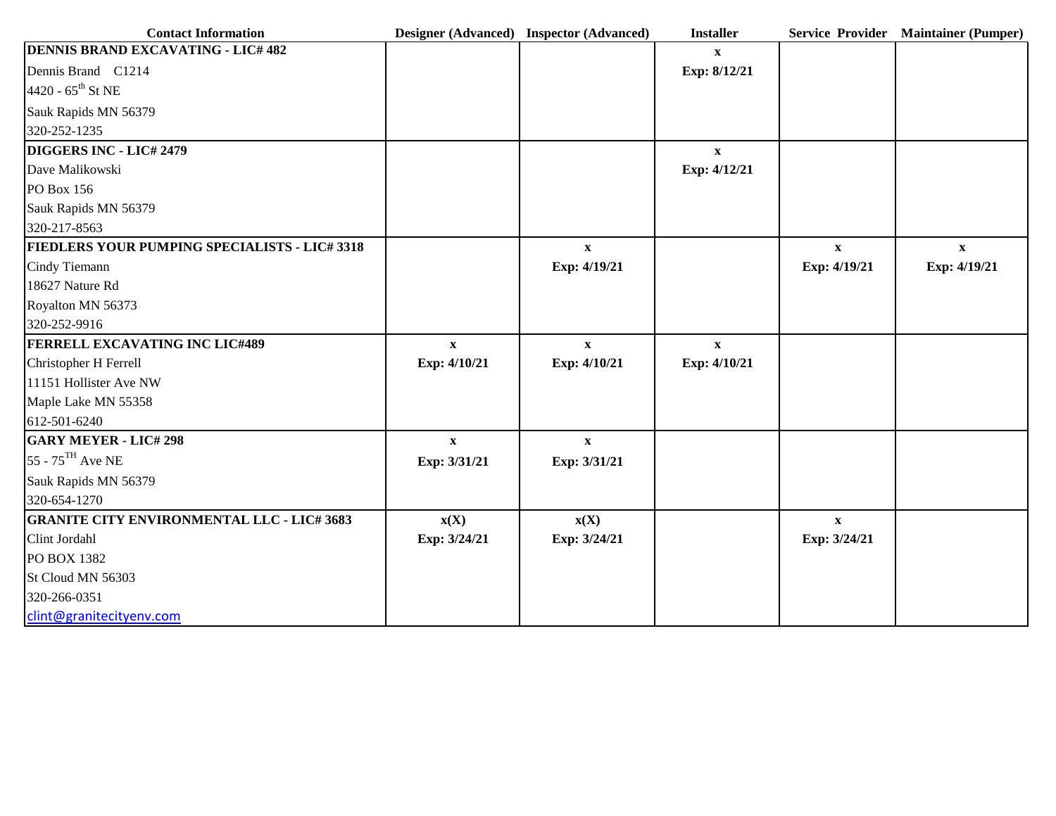| <b>Contact Information</b>                           |                          | Designer (Advanced) Inspector (Advanced) | <b>Installer</b> |              | Service Provider Maintainer (Pumper) |
|------------------------------------------------------|--------------------------|------------------------------------------|------------------|--------------|--------------------------------------|
| <b>DENNIS BRAND EXCAVATING - LIC# 482</b>            |                          |                                          | $\mathbf{x}$     |              |                                      |
| Dennis Brand C1214                                   |                          |                                          | Exp: 8/12/21     |              |                                      |
| 4420 - $65^{\text{th}}$ St NE                        |                          |                                          |                  |              |                                      |
| Sauk Rapids MN 56379                                 |                          |                                          |                  |              |                                      |
| 320-252-1235                                         |                          |                                          |                  |              |                                      |
| DIGGERS INC - LIC# 2479                              |                          |                                          | $\mathbf X$      |              |                                      |
| Dave Malikowski                                      |                          |                                          | Exp: 4/12/21     |              |                                      |
| PO Box 156                                           |                          |                                          |                  |              |                                      |
| Sauk Rapids MN 56379                                 |                          |                                          |                  |              |                                      |
| 320-217-8563                                         |                          |                                          |                  |              |                                      |
| <b>FIEDLERS YOUR PUMPING SPECIALISTS - LIC# 3318</b> |                          | $\mathbf{x}$                             |                  | $\mathbf{X}$ | $\mathbf{X}$                         |
| Cindy Tiemann                                        |                          | Exp: 4/19/21                             |                  | Exp: 4/19/21 | Exp: 4/19/21                         |
| 18627 Nature Rd                                      |                          |                                          |                  |              |                                      |
| Royalton MN 56373                                    |                          |                                          |                  |              |                                      |
| 320-252-9916                                         |                          |                                          |                  |              |                                      |
| <b>FERRELL EXCAVATING INC LIC#489</b>                | $\mathbf{x}$             | $\mathbf X$                              | $\mathbf X$      |              |                                      |
| Christopher H Ferrell                                | Exp: 4/10/21             | Exp: 4/10/21                             | Exp: 4/10/21     |              |                                      |
| 11151 Hollister Ave NW                               |                          |                                          |                  |              |                                      |
| Maple Lake MN 55358                                  |                          |                                          |                  |              |                                      |
| 612-501-6240                                         |                          |                                          |                  |              |                                      |
| <b>GARY MEYER - LIC# 298</b>                         | $\mathbf{x}$             | $\mathbf X$                              |                  |              |                                      |
| $55 - 75$ <sup>TH</sup> Ave NE                       | Exp: 3/31/21             | Exp: 3/31/21                             |                  |              |                                      |
| Sauk Rapids MN 56379                                 |                          |                                          |                  |              |                                      |
| 320-654-1270                                         |                          |                                          |                  |              |                                      |
| <b>GRANITE CITY ENVIRONMENTAL LLC - LIC# 3683</b>    | $\mathbf{x}(\mathbf{X})$ | $\mathbf{x}(\mathbf{X})$                 |                  | $\mathbf X$  |                                      |
| Clint Jordahl                                        | Exp: 3/24/21             | Exp: 3/24/21                             |                  | Exp: 3/24/21 |                                      |
| PO BOX 1382                                          |                          |                                          |                  |              |                                      |
| St Cloud MN 56303                                    |                          |                                          |                  |              |                                      |
| 320-266-0351                                         |                          |                                          |                  |              |                                      |
| clint@granitecityenv.com                             |                          |                                          |                  |              |                                      |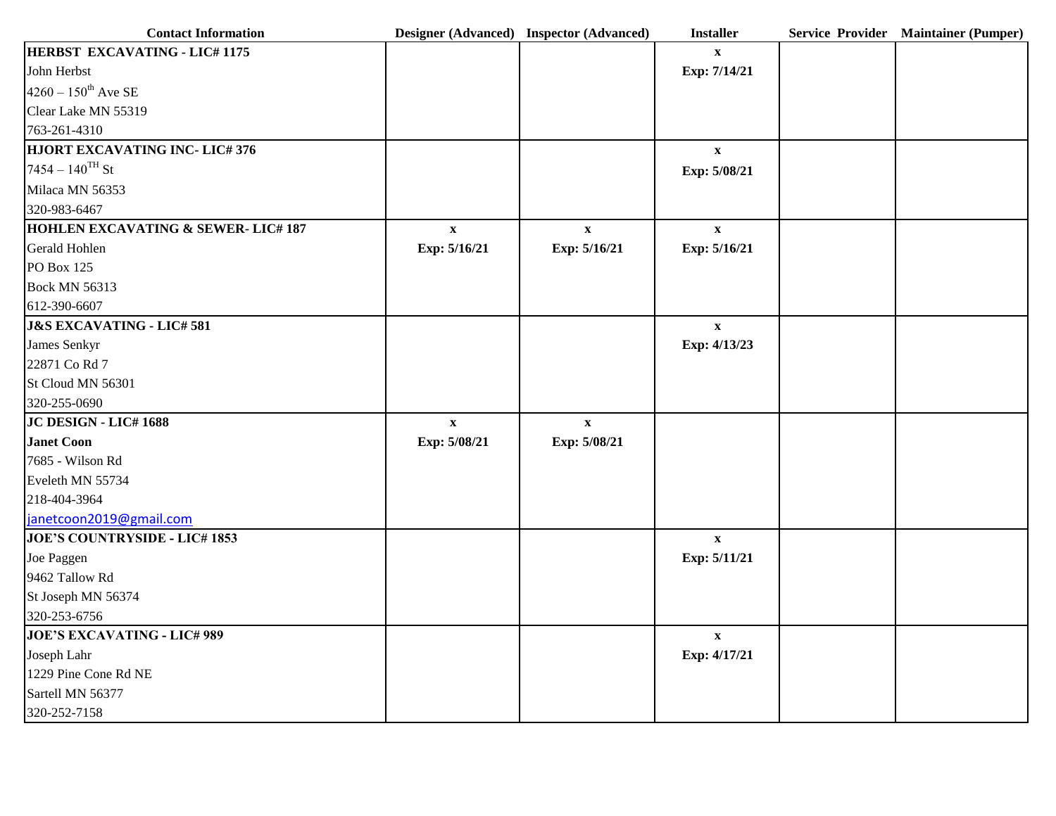| <b>Contact Information</b>                   |                           | Designer (Advanced) Inspector (Advanced) | <b>Installer</b>          | Service Provider Maintainer (Pumper) |
|----------------------------------------------|---------------------------|------------------------------------------|---------------------------|--------------------------------------|
| <b>HERBST EXCAVATING - LIC# 1175</b>         |                           |                                          | $\mathbf{x}$              |                                      |
| John Herbst                                  |                           |                                          | Exp: 7/14/21              |                                      |
| $4260 - 150^{\text{th}}$ Ave SE              |                           |                                          |                           |                                      |
| Clear Lake MN 55319                          |                           |                                          |                           |                                      |
| 763-261-4310                                 |                           |                                          |                           |                                      |
| <b>HJORT EXCAVATING INC- LIC#376</b>         |                           |                                          | $\mathbf X$               |                                      |
| $7454 - 140$ <sup>TH</sup> St                |                           |                                          | Exp: 5/08/21              |                                      |
| Milaca MN 56353                              |                           |                                          |                           |                                      |
| 320-983-6467                                 |                           |                                          |                           |                                      |
| <b>HOHLEN EXCAVATING &amp; SEWER-LIC#187</b> | $\boldsymbol{\mathrm{X}}$ | $\boldsymbol{\mathrm{X}}$                | $\mathbf{x}$              |                                      |
| Gerald Hohlen                                | Exp: 5/16/21              | Exp: 5/16/21                             | Exp: 5/16/21              |                                      |
| PO Box 125                                   |                           |                                          |                           |                                      |
| <b>Bock MN 56313</b>                         |                           |                                          |                           |                                      |
| 612-390-6607                                 |                           |                                          |                           |                                      |
| <b>J&amp;S EXCAVATING - LIC# 581</b>         |                           |                                          | $\mathbf{X}$              |                                      |
| James Senkyr                                 |                           |                                          | Exp: 4/13/23              |                                      |
| 22871 Co Rd 7                                |                           |                                          |                           |                                      |
| St Cloud MN 56301                            |                           |                                          |                           |                                      |
| 320-255-0690                                 |                           |                                          |                           |                                      |
| JC DESIGN - LIC# 1688                        | $\boldsymbol{\mathrm{X}}$ | $\mathbf X$                              |                           |                                      |
| Janet Coon                                   | Exp: 5/08/21              | Exp: 5/08/21                             |                           |                                      |
| 7685 - Wilson Rd                             |                           |                                          |                           |                                      |
| Eveleth MN 55734                             |                           |                                          |                           |                                      |
| 218-404-3964                                 |                           |                                          |                           |                                      |
| janetcoon2019@gmail.com                      |                           |                                          |                           |                                      |
| <b>JOE'S COUNTRYSIDE - LIC# 1853</b>         |                           |                                          | $\mathbf{x}$              |                                      |
| Joe Paggen                                   |                           |                                          | Exp: 5/11/21              |                                      |
| 9462 Tallow Rd                               |                           |                                          |                           |                                      |
| St Joseph MN 56374                           |                           |                                          |                           |                                      |
| 320-253-6756                                 |                           |                                          |                           |                                      |
| <b>JOE'S EXCAVATING - LIC# 989</b>           |                           |                                          | $\boldsymbol{\mathrm{X}}$ |                                      |
| Joseph Lahr                                  |                           |                                          | Exp: 4/17/21              |                                      |
| 1229 Pine Cone Rd NE                         |                           |                                          |                           |                                      |
| Sartell MN 56377                             |                           |                                          |                           |                                      |
| 320-252-7158                                 |                           |                                          |                           |                                      |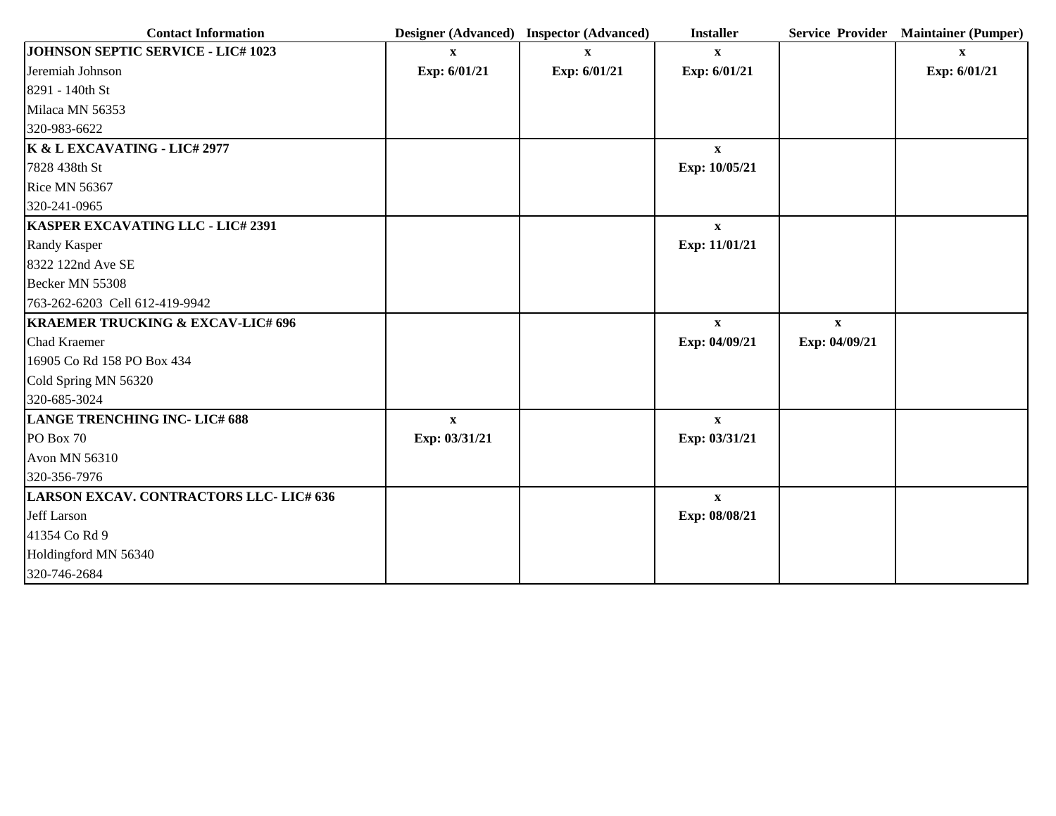| <b>Contact Information</b>                    |               | Designer (Advanced) Inspector (Advanced) | <b>Installer</b> |               | Service Provider Maintainer (Pumper) |
|-----------------------------------------------|---------------|------------------------------------------|------------------|---------------|--------------------------------------|
| <b>JOHNSON SEPTIC SERVICE - LIC# 1023</b>     | $\mathbf{x}$  | $\mathbf{x}$                             | $\mathbf{X}$     |               | $\mathbf{X}$                         |
| Jeremiah Johnson                              | Exp: 6/01/21  | Exp: 6/01/21                             | Exp: 6/01/21     |               | Exp: 6/01/21                         |
| 8291 - 140th St                               |               |                                          |                  |               |                                      |
| Milaca MN 56353                               |               |                                          |                  |               |                                      |
| 320-983-6622                                  |               |                                          |                  |               |                                      |
| K & L EXCAVATING - LIC# 2977                  |               |                                          | $\mathbf{X}$     |               |                                      |
| 7828 438th St                                 |               |                                          | Exp: 10/05/21    |               |                                      |
| <b>Rice MN 56367</b>                          |               |                                          |                  |               |                                      |
| 320-241-0965                                  |               |                                          |                  |               |                                      |
| KASPER EXCAVATING LLC - LIC# 2391             |               |                                          | $\mathbf{x}$     |               |                                      |
| Randy Kasper                                  |               |                                          | Exp: 11/01/21    |               |                                      |
| 8322 122nd Ave SE                             |               |                                          |                  |               |                                      |
| Becker MN 55308                               |               |                                          |                  |               |                                      |
| 763-262-6203 Cell 612-419-9942                |               |                                          |                  |               |                                      |
| <b>KRAEMER TRUCKING &amp; EXCAV-LIC# 696</b>  |               |                                          | $\mathbf{x}$     | $\mathbf{X}$  |                                      |
| Chad Kraemer                                  |               |                                          | Exp: 04/09/21    | Exp: 04/09/21 |                                      |
| 16905 Co Rd 158 PO Box 434                    |               |                                          |                  |               |                                      |
| Cold Spring MN 56320                          |               |                                          |                  |               |                                      |
| 320-685-3024                                  |               |                                          |                  |               |                                      |
| <b>LANGE TRENCHING INC-LIC# 688</b>           | $\mathbf{X}$  |                                          | $\mathbf{X}$     |               |                                      |
| PO Box 70                                     | Exp: 03/31/21 |                                          | Exp: 03/31/21    |               |                                      |
| Avon MN 56310                                 |               |                                          |                  |               |                                      |
| 320-356-7976                                  |               |                                          |                  |               |                                      |
| <b>LARSON EXCAV. CONTRACTORS LLC-LIC# 636</b> |               |                                          | $\mathbf{X}$     |               |                                      |
| Jeff Larson                                   |               |                                          | Exp: 08/08/21    |               |                                      |
| 41354 Co Rd 9                                 |               |                                          |                  |               |                                      |
| Holdingford MN 56340                          |               |                                          |                  |               |                                      |
| 320-746-2684                                  |               |                                          |                  |               |                                      |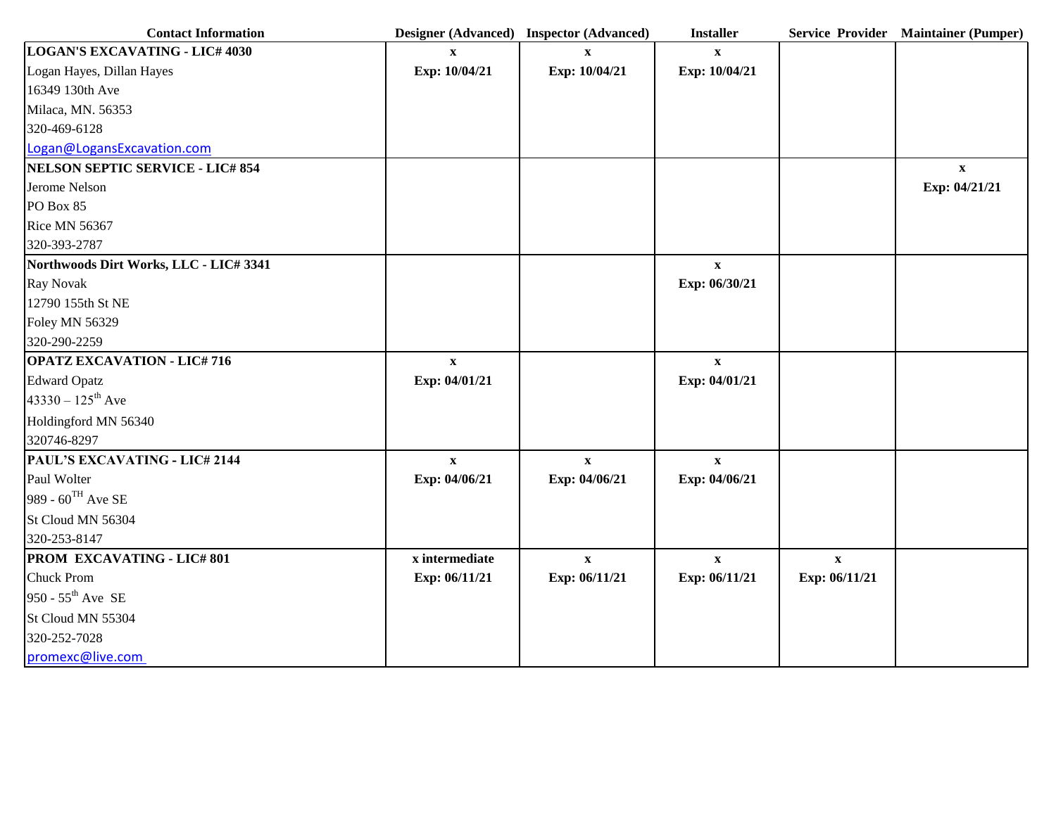| <b>Contact Information</b>              |                           | Designer (Advanced) Inspector (Advanced) | <b>Installer</b> |               | Service Provider Maintainer (Pumper) |
|-----------------------------------------|---------------------------|------------------------------------------|------------------|---------------|--------------------------------------|
| <b>LOGAN'S EXCAVATING - LIC# 4030</b>   | $\mathbf{x}$              | $\mathbf{x}$                             | $\mathbf{x}$     |               |                                      |
| Logan Hayes, Dillan Hayes               | Exp: 10/04/21             | Exp: 10/04/21                            | Exp: 10/04/21    |               |                                      |
| 16349 130th Ave                         |                           |                                          |                  |               |                                      |
| Milaca, MN. 56353                       |                           |                                          |                  |               |                                      |
| 320-469-6128                            |                           |                                          |                  |               |                                      |
| Logan@LogansExcavation.com              |                           |                                          |                  |               |                                      |
| <b>NELSON SEPTIC SERVICE - LIC# 854</b> |                           |                                          |                  |               | $\mathbf{x}$                         |
| Jerome Nelson                           |                           |                                          |                  |               | Exp: 04/21/21                        |
| PO Box 85                               |                           |                                          |                  |               |                                      |
| <b>Rice MN 56367</b>                    |                           |                                          |                  |               |                                      |
| 320-393-2787                            |                           |                                          |                  |               |                                      |
| Northwoods Dirt Works, LLC - LIC# 3341  |                           |                                          | $\mathbf X$      |               |                                      |
| Ray Novak                               |                           |                                          | Exp: 06/30/21    |               |                                      |
| 12790 155th St NE                       |                           |                                          |                  |               |                                      |
| <b>Foley MN 56329</b>                   |                           |                                          |                  |               |                                      |
| 320-290-2259                            |                           |                                          |                  |               |                                      |
| <b>OPATZ EXCAVATION - LIC#716</b>       | $\boldsymbol{\mathrm{X}}$ |                                          | $\mathbf X$      |               |                                      |
| <b>Edward Opatz</b>                     | Exp: 04/01/21             |                                          | Exp: 04/01/21    |               |                                      |
| $43330 - 125$ <sup>th</sup> Ave         |                           |                                          |                  |               |                                      |
| Holdingford MN 56340                    |                           |                                          |                  |               |                                      |
| 320746-8297                             |                           |                                          |                  |               |                                      |
| <b>PAUL'S EXCAVATING - LIC# 2144</b>    | $\mathbf{X}$              | $\mathbf{x}$                             | $\mathbf{X}$     |               |                                      |
| Paul Wolter                             | Exp: 04/06/21             | Exp: 04/06/21                            | Exp: 04/06/21    |               |                                      |
| 989 - $60^{\text{TH}}$ Ave SE           |                           |                                          |                  |               |                                      |
| St Cloud MN 56304                       |                           |                                          |                  |               |                                      |
| 320-253-8147                            |                           |                                          |                  |               |                                      |
| PROM EXCAVATING - LIC#801               | x intermediate            | $\mathbf X$                              | $\mathbf{X}$     | $\mathbf{X}$  |                                      |
| <b>Chuck Prom</b>                       | Exp: 06/11/21             | Exp: 06/11/21                            | Exp: 06/11/21    | Exp: 06/11/21 |                                      |
| 950 - $55^{\text{th}}$ Ave SE           |                           |                                          |                  |               |                                      |
| St Cloud MN 55304                       |                           |                                          |                  |               |                                      |
| 320-252-7028                            |                           |                                          |                  |               |                                      |
| promexc@live.com                        |                           |                                          |                  |               |                                      |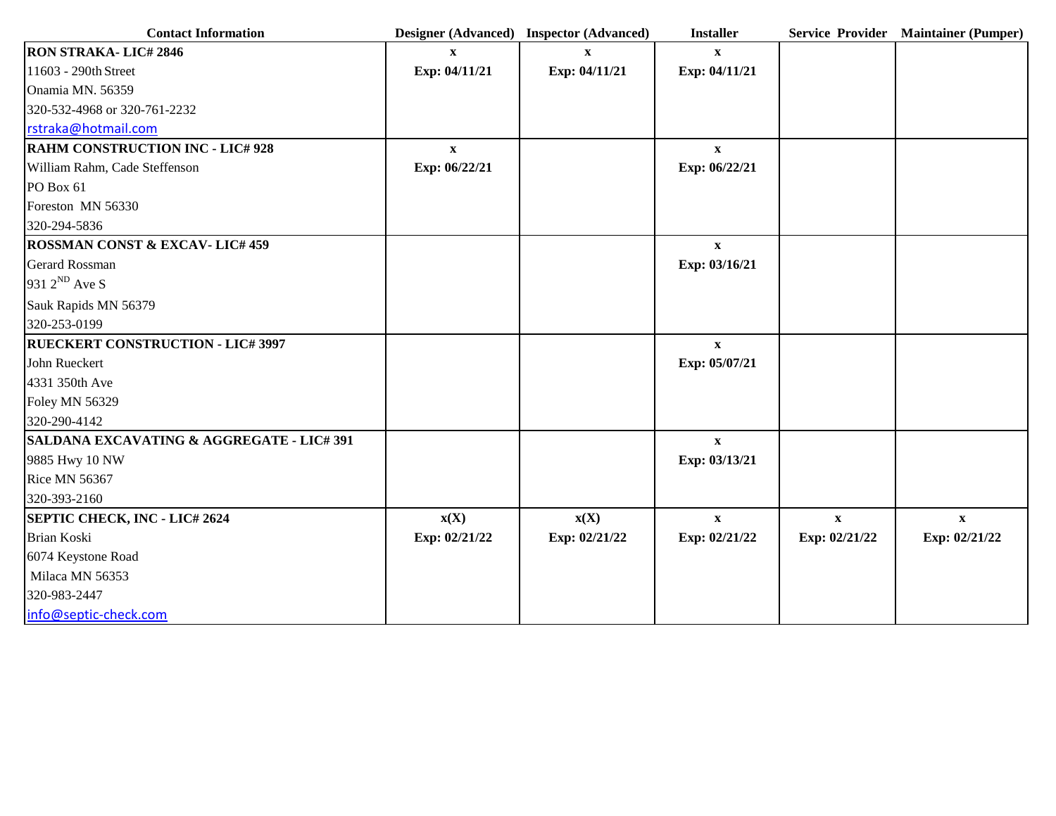| <b>Contact Information</b>               |                          | Designer (Advanced) Inspector (Advanced) | <b>Installer</b> |               | Service Provider Maintainer (Pumper) |
|------------------------------------------|--------------------------|------------------------------------------|------------------|---------------|--------------------------------------|
| <b>RON STRAKA-LIC#2846</b>               | X                        |                                          | $\mathbf{x}$     |               |                                      |
| 11603 - 290th Street                     | Exp: 04/11/21            | Exp: 04/11/21                            | Exp: 04/11/21    |               |                                      |
| Onamia MN. 56359                         |                          |                                          |                  |               |                                      |
| 320-532-4968 or 320-761-2232             |                          |                                          |                  |               |                                      |
| rstraka@hotmail.com                      |                          |                                          |                  |               |                                      |
| <b>RAHM CONSTRUCTION INC - LIC# 928</b>  | $\mathbf{X}$             |                                          | $\mathbf{X}$     |               |                                      |
| William Rahm, Cade Steffenson            | Exp: 06/22/21            |                                          | Exp: 06/22/21    |               |                                      |
| PO Box 61                                |                          |                                          |                  |               |                                      |
| Foreston MN 56330                        |                          |                                          |                  |               |                                      |
| 320-294-5836                             |                          |                                          |                  |               |                                      |
| <b>ROSSMAN CONST &amp; EXCAV-LIC#459</b> |                          |                                          | $\mathbf{X}$     |               |                                      |
| <b>Gerard Rossman</b>                    |                          |                                          | Exp: 03/16/21    |               |                                      |
| 931 2 <sup>ND</sup> Ave S                |                          |                                          |                  |               |                                      |
| Sauk Rapids MN 56379                     |                          |                                          |                  |               |                                      |
| 320-253-0199                             |                          |                                          |                  |               |                                      |
| <b>RUECKERT CONSTRUCTION - LIC# 3997</b> |                          |                                          | $\mathbf X$      |               |                                      |
| John Rueckert                            |                          |                                          | Exp: 05/07/21    |               |                                      |
| 4331 350th Ave                           |                          |                                          |                  |               |                                      |
| <b>Foley MN 56329</b>                    |                          |                                          |                  |               |                                      |
| 320-290-4142                             |                          |                                          |                  |               |                                      |
| SALDANA EXCAVATING & AGGREGATE - LIC#391 |                          |                                          | $\mathbf{x}$     |               |                                      |
| 9885 Hwy 10 NW                           |                          |                                          | Exp: 03/13/21    |               |                                      |
| <b>Rice MN 56367</b>                     |                          |                                          |                  |               |                                      |
| 320-393-2160                             |                          |                                          |                  |               |                                      |
| <b>SEPTIC CHECK, INC - LIC# 2624</b>     | $\mathbf{x}(\mathbf{X})$ | $\mathbf{x}(\mathbf{X})$                 | $\mathbf X$      | $\mathbf X$   | $\mathbf X$                          |
| <b>Brian Koski</b>                       | Exp: 02/21/22            | Exp: 02/21/22                            | Exp: 02/21/22    | Exp: 02/21/22 | Exp: 02/21/22                        |
| 6074 Keystone Road                       |                          |                                          |                  |               |                                      |
| Milaca MN 56353                          |                          |                                          |                  |               |                                      |
| 320-983-2447                             |                          |                                          |                  |               |                                      |
| info@septic-check.com                    |                          |                                          |                  |               |                                      |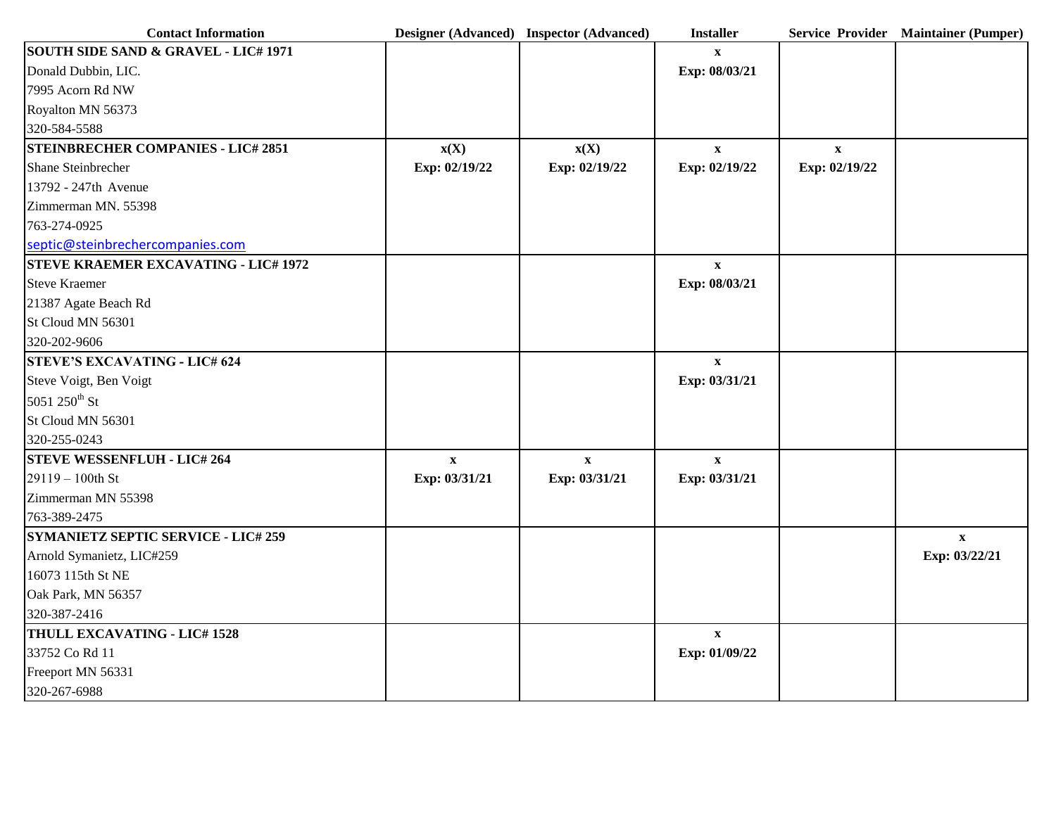| <b>Contact Information</b>                      |                          | Designer (Advanced) Inspector (Advanced) | <b>Installer</b> |               | Service Provider Maintainer (Pumper) |
|-------------------------------------------------|--------------------------|------------------------------------------|------------------|---------------|--------------------------------------|
| <b>SOUTH SIDE SAND &amp; GRAVEL - LIC# 1971</b> |                          |                                          | $\mathbf{x}$     |               |                                      |
| Donald Dubbin, LIC.                             |                          |                                          | Exp: 08/03/21    |               |                                      |
| 7995 Acorn Rd NW                                |                          |                                          |                  |               |                                      |
| Royalton MN 56373                               |                          |                                          |                  |               |                                      |
| 320-584-5588                                    |                          |                                          |                  |               |                                      |
| <b>STEINBRECHER COMPANIES - LIC# 2851</b>       | $\mathbf{x}(\mathbf{X})$ | $\mathbf{x}(\mathbf{X})$                 | $\mathbf{x}$     | $\mathbf{X}$  |                                      |
| Shane Steinbrecher                              | Exp: 02/19/22            | Exp: 02/19/22                            | Exp: 02/19/22    | Exp: 02/19/22 |                                      |
| 13792 - 247th Avenue                            |                          |                                          |                  |               |                                      |
| Zimmerman MN. 55398                             |                          |                                          |                  |               |                                      |
| 763-274-0925                                    |                          |                                          |                  |               |                                      |
| septic@steinbrechercompanies.com                |                          |                                          |                  |               |                                      |
| <b>STEVE KRAEMER EXCAVATING - LIC# 1972</b>     |                          |                                          | $\mathbf X$      |               |                                      |
| <b>Steve Kraemer</b>                            |                          |                                          | Exp: 08/03/21    |               |                                      |
| 21387 Agate Beach Rd                            |                          |                                          |                  |               |                                      |
| St Cloud MN 56301                               |                          |                                          |                  |               |                                      |
| 320-202-9606                                    |                          |                                          |                  |               |                                      |
| <b>STEVE'S EXCAVATING - LIC# 624</b>            |                          |                                          | $\mathbf{X}$     |               |                                      |
| Steve Voigt, Ben Voigt                          |                          |                                          | Exp: 03/31/21    |               |                                      |
| 5051 250 <sup>th</sup> St                       |                          |                                          |                  |               |                                      |
| St Cloud MN 56301                               |                          |                                          |                  |               |                                      |
| 320-255-0243                                    |                          |                                          |                  |               |                                      |
| <b>STEVE WESSENFLUH - LIC# 264</b>              | $\mathbf{x}$             | $\mathbf X$                              | $\mathbf X$      |               |                                      |
| 29119 - 100th St                                | Exp: 03/31/21            | Exp: 03/31/21                            | Exp: 03/31/21    |               |                                      |
| Zimmerman MN 55398                              |                          |                                          |                  |               |                                      |
| 763-389-2475                                    |                          |                                          |                  |               |                                      |
| <b>SYMANIETZ SEPTIC SERVICE - LIC# 259</b>      |                          |                                          |                  |               | $\mathbf{X}$                         |
| Arnold Symanietz, LIC#259                       |                          |                                          |                  |               | Exp: 03/22/21                        |
| 16073 115th St NE                               |                          |                                          |                  |               |                                      |
| Oak Park, MN 56357                              |                          |                                          |                  |               |                                      |
| 320-387-2416                                    |                          |                                          |                  |               |                                      |
| THULL EXCAVATING - LIC# 1528                    |                          |                                          | $\mathbf X$      |               |                                      |
| 33752 Co Rd 11                                  |                          |                                          | Exp: 01/09/22    |               |                                      |
| Freeport MN 56331                               |                          |                                          |                  |               |                                      |
| 320-267-6988                                    |                          |                                          |                  |               |                                      |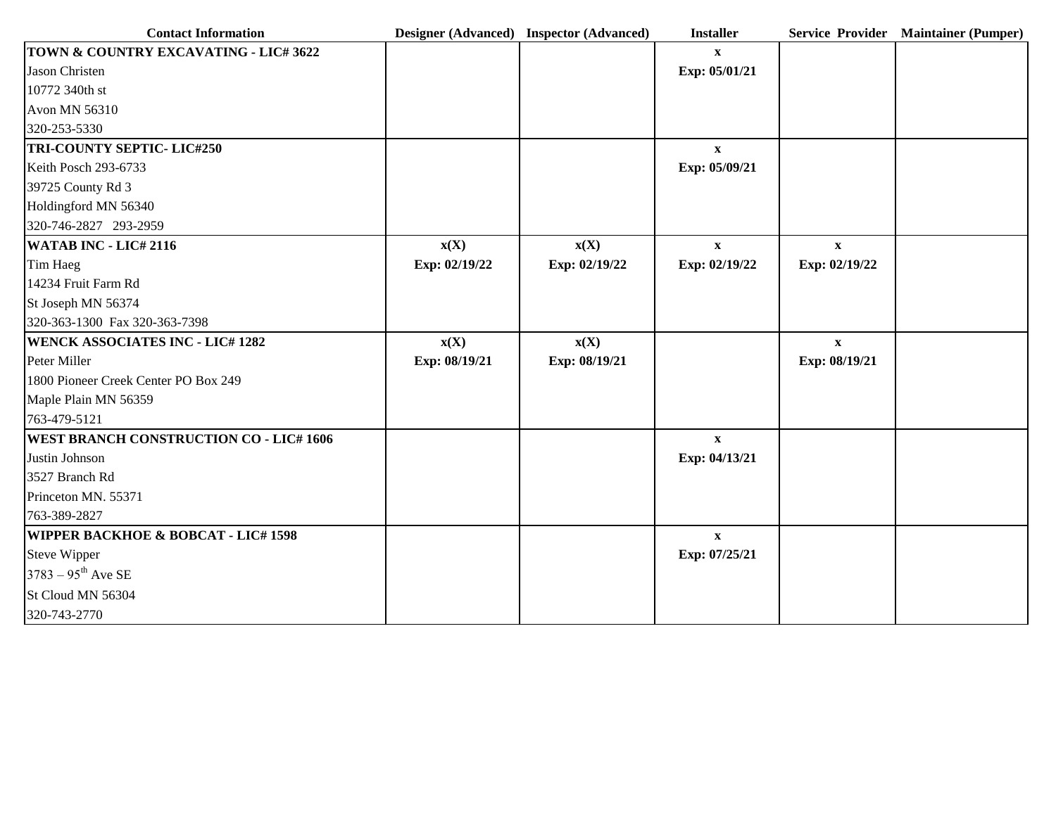| <b>Contact Information</b>                     |               | Designer (Advanced) Inspector (Advanced) | <b>Installer</b> |               | Service Provider Maintainer (Pumper) |
|------------------------------------------------|---------------|------------------------------------------|------------------|---------------|--------------------------------------|
| TOWN & COUNTRY EXCAVATING - LIC# 3622          |               |                                          | $\mathbf{x}$     |               |                                      |
| Jason Christen                                 |               |                                          | Exp: 05/01/21    |               |                                      |
| 10772 340th st                                 |               |                                          |                  |               |                                      |
| Avon MN 56310                                  |               |                                          |                  |               |                                      |
| 320-253-5330                                   |               |                                          |                  |               |                                      |
| <b>TRI-COUNTY SEPTIC- LIC#250</b>              |               |                                          | $\mathbf{X}$     |               |                                      |
| Keith Posch 293-6733                           |               |                                          | Exp: 05/09/21    |               |                                      |
| 39725 County Rd 3                              |               |                                          |                  |               |                                      |
| Holdingford MN 56340                           |               |                                          |                  |               |                                      |
| 320-746-2827 293-2959                          |               |                                          |                  |               |                                      |
| <b>WATAB INC - LIC# 2116</b>                   | X(X)          | $\mathbf{x}(\mathbf{X})$                 | $\mathbf{X}$     | $\mathbf X$   |                                      |
| Tim Haeg                                       | Exp: 02/19/22 | Exp: 02/19/22                            | Exp: 02/19/22    | Exp: 02/19/22 |                                      |
| 14234 Fruit Farm Rd                            |               |                                          |                  |               |                                      |
| St Joseph MN 56374                             |               |                                          |                  |               |                                      |
| 320-363-1300 Fax 320-363-7398                  |               |                                          |                  |               |                                      |
| <b>WENCK ASSOCIATES INC - LIC# 1282</b>        | X(X)          | $\mathbf{x}(\mathbf{X})$                 |                  | $\mathbf{X}$  |                                      |
| Peter Miller                                   | Exp: 08/19/21 | Exp: 08/19/21                            |                  | Exp: 08/19/21 |                                      |
| 1800 Pioneer Creek Center PO Box 249           |               |                                          |                  |               |                                      |
| Maple Plain MN 56359                           |               |                                          |                  |               |                                      |
| 763-479-5121                                   |               |                                          |                  |               |                                      |
| <b>WEST BRANCH CONSTRUCTION CO - LIC# 1606</b> |               |                                          | $\mathbf X$      |               |                                      |
| Justin Johnson                                 |               |                                          | Exp: 04/13/21    |               |                                      |
| 3527 Branch Rd                                 |               |                                          |                  |               |                                      |
| Princeton MN. 55371                            |               |                                          |                  |               |                                      |
| 763-389-2827                                   |               |                                          |                  |               |                                      |
| <b>WIPPER BACKHOE &amp; BOBCAT - LIC# 1598</b> |               |                                          | $\mathbf X$      |               |                                      |
| Steve Wipper                                   |               |                                          | Exp: 07/25/21    |               |                                      |
| $3783 - 95^{\text{th}}$ Ave SE                 |               |                                          |                  |               |                                      |
| St Cloud MN 56304                              |               |                                          |                  |               |                                      |
| 320-743-2770                                   |               |                                          |                  |               |                                      |